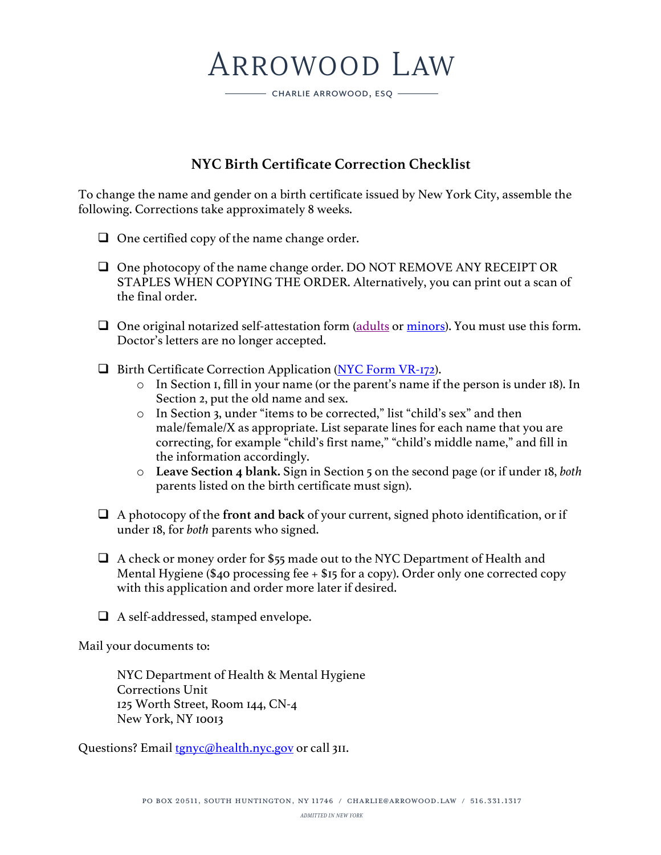# ARROWOOD LAW

CHARLIE ARROWOOD, ESQ

## **NYC Birth Certificate Correction Checklist**

To change the name and gender on a birth certificate issued by New York City, assemble the following. Corrections take approximately 8 weeks.

- $\Box$  One certified copy of the name change order.
- $\Box$  One photocopy of the name change order. DO NOT REMOVE ANY RECEIPT OR STAPLES WHEN COPYING THE ORDER. Alternatively, you can print out a scan of the final order.
- $\Box$  One original notarized self-attestation form (adults or minors). You must use this form. Doctor's letters are no longer accepted.
- $\Box$  Birth Certificate Correction Application (NYC Form VR-172).
	- o In Section 1, fill in your name (or the parent's name if the person is under 18). In Section 2, put the old name and sex.
	- o In Section 3, under "items to be corrected," list "child's sex" and then male/female/X as appropriate. List separate lines for each name that you are correcting, for example "child's first name," "child's middle name," and fill in the information accordingly.
	- o **Leave Section 4 blank.** Sign in Section 5 on the second page (or if under 18, *both* parents listed on the birth certificate must sign).
- $\Box$  A photocopy of the **front and back** of your current, signed photo identification, or if under 18, for *both* parents who signed.
- $\Box$  A check or money order for \$55 made out to the NYC Department of Health and Mental Hygiene (\$40 processing fee  $+$  \$15 for a copy). Order only one corrected copy with this application and order more later if desired.
- $\Box$  A self-addressed, stamped envelope.

Mail your documents to:

NYC Department of Health & Mental Hygiene Corrections Unit 125 Worth Street, Room 144, CN-4 New York, NY 10013

Questions? Email tgnyc@health.nyc.gov or call 3II.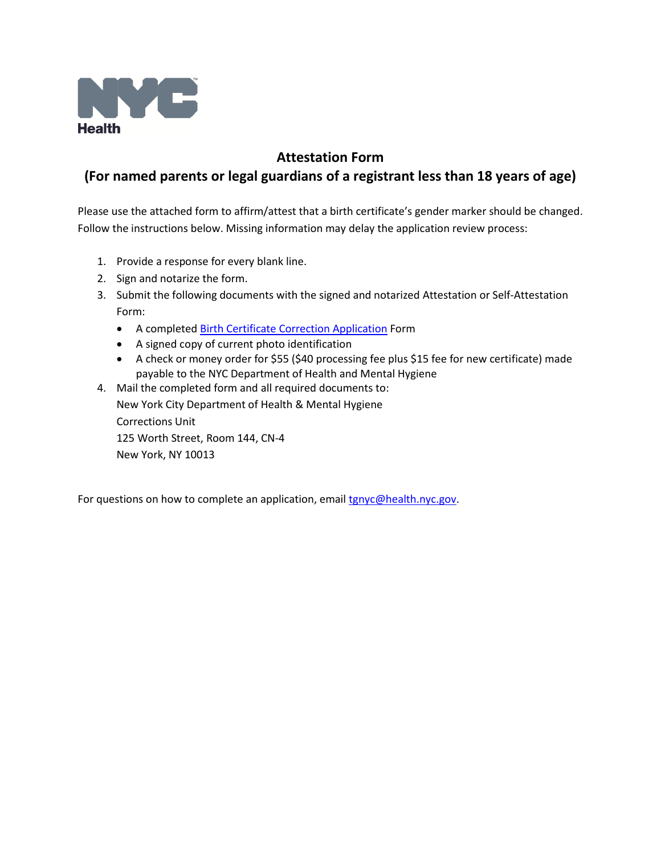

### **Attestation Form (For named parents or legal guardians of a registrant less than 18 years of age)**

Please use the attached form to affirm/attest that a birth certificate's gender marker should be changed. Follow the instructions below. Missing information may delay the application review process:

- 1. Provide a response for every blank line.
- 2. Sign and notarize the form.
- 3. Submit the following documents with the signed and notarized Attestation or Self-Attestation Form:
	- A completed [Birth Certificate Correction Application](https://nyc-csg-web.csc.nycnet/assets/doh/downloads/pdf/vr/bcorrect.pdf) Form
	- A signed copy of current photo identification
	- A check or money order for \$55 (\$40 processing fee plus \$15 fee for new certificate) made payable to the NYC Department of Health and Mental Hygiene

4. Mail the completed form and all required documents to: New York City Department of Health & Mental Hygiene Corrections Unit 125 Worth Street, Room 144, CN-4 New York, NY 10013

For questions on how to complete an application, email [tgnyc@health.nyc.gov.](mailto:tgnyc@health.nyc.gov)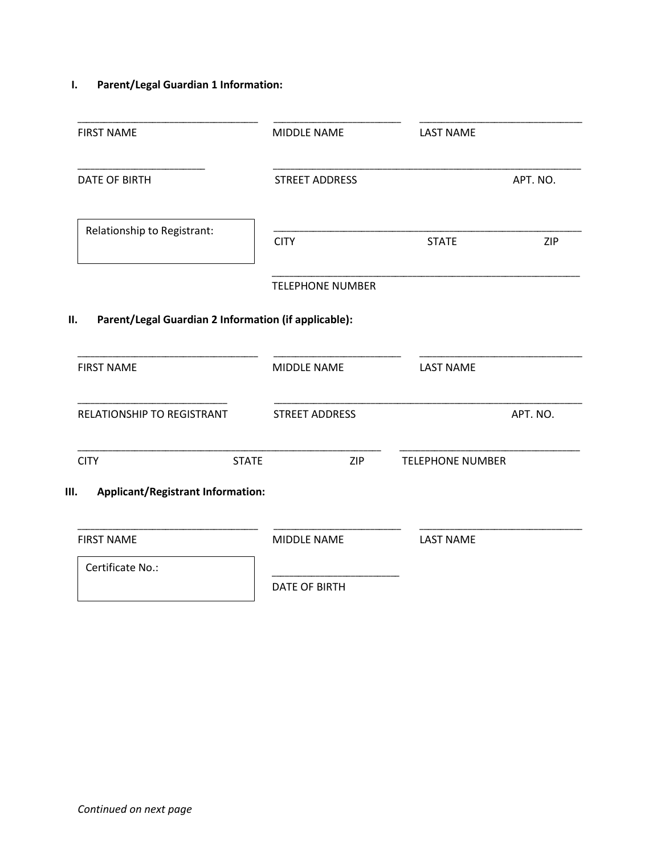### **I. Parent/Legal Guardian 1 Information:**

| <b>FIRST NAME</b>                                          | MIDDLE NAME             | <b>LAST NAME</b>        |          |
|------------------------------------------------------------|-------------------------|-------------------------|----------|
| <b>DATE OF BIRTH</b>                                       | <b>STREET ADDRESS</b>   |                         | APT. NO. |
| Relationship to Registrant:                                | <b>CITY</b>             | <b>STATE</b>            | ZIP      |
|                                                            | <b>TELEPHONE NUMBER</b> |                         |          |
| Parent/Legal Guardian 2 Information (if applicable):<br>П. |                         |                         |          |
| <b>FIRST NAME</b>                                          | MIDDLE NAME             | <b>LAST NAME</b>        |          |
| RELATIONSHIP TO REGISTRANT                                 | <b>STREET ADDRESS</b>   |                         | APT. NO. |
| <b>CITY</b><br><b>STATE</b>                                | <b>ZIP</b>              | <b>TELEPHONE NUMBER</b> |          |
| <b>Applicant/Registrant Information:</b><br>Ш.             |                         |                         |          |
| <b>FIRST NAME</b>                                          | MIDDLE NAME             | <b>LAST NAME</b>        |          |
| Certificate No.:                                           | <b>DATE OF BIRTH</b>    |                         |          |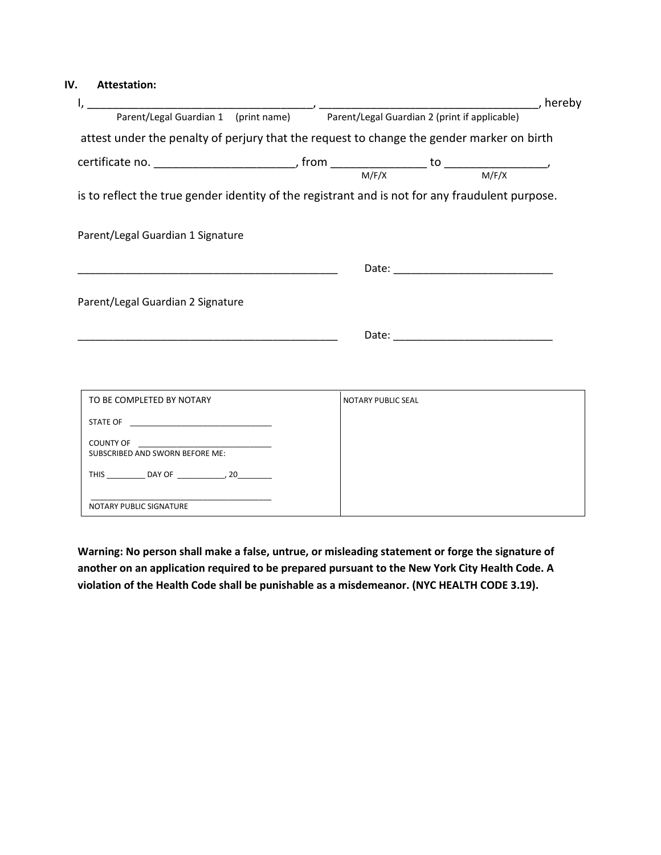#### **IV. Attestation:**

| Parent/Legal Guardian 1 (print name)<br>Parent/Legal Guardian 1 (print name) Parent/Legal Guardian 2 (print if applicable) |                           |                                                                                                                                                                                                                                | , hereby |
|----------------------------------------------------------------------------------------------------------------------------|---------------------------|--------------------------------------------------------------------------------------------------------------------------------------------------------------------------------------------------------------------------------|----------|
|                                                                                                                            |                           |                                                                                                                                                                                                                                |          |
| attest under the penalty of perjury that the request to change the gender marker on birth                                  |                           |                                                                                                                                                                                                                                |          |
|                                                                                                                            |                           |                                                                                                                                                                                                                                |          |
|                                                                                                                            |                           |                                                                                                                                                                                                                                |          |
| is to reflect the true gender identity of the registrant and is not for any fraudulent purpose.                            |                           |                                                                                                                                                                                                                                |          |
|                                                                                                                            |                           |                                                                                                                                                                                                                                |          |
| Parent/Legal Guardian 1 Signature                                                                                          |                           |                                                                                                                                                                                                                                |          |
|                                                                                                                            |                           |                                                                                                                                                                                                                                |          |
|                                                                                                                            |                           |                                                                                                                                                                                                                                |          |
| Parent/Legal Guardian 2 Signature                                                                                          |                           |                                                                                                                                                                                                                                |          |
|                                                                                                                            |                           |                                                                                                                                                                                                                                |          |
|                                                                                                                            |                           | Date: the contract of the contract of the contract of the contract of the contract of the contract of the contract of the contract of the contract of the contract of the contract of the contract of the contract of the cont |          |
|                                                                                                                            |                           |                                                                                                                                                                                                                                |          |
|                                                                                                                            |                           |                                                                                                                                                                                                                                |          |
| TO BE COMPLETED BY NOTARY                                                                                                  | <b>NOTARY PUBLIC SEAL</b> |                                                                                                                                                                                                                                |          |
|                                                                                                                            |                           |                                                                                                                                                                                                                                |          |
|                                                                                                                            |                           |                                                                                                                                                                                                                                |          |
| SUBSCRIBED AND SWORN BEFORE ME:                                                                                            |                           |                                                                                                                                                                                                                                |          |
|                                                                                                                            |                           |                                                                                                                                                                                                                                |          |

\_\_\_\_\_\_\_\_\_\_\_\_\_\_\_\_\_\_\_\_\_\_\_\_\_\_\_\_\_\_\_\_\_\_\_\_\_\_\_\_\_\_

NOTARY PUBLIC SIGNATURE

**Warning: No person shall make a false, untrue, or misleading statement or forge the signature of another on an application required to be prepared pursuant to the New York City Health Code. A violation of the Health Code shall be punishable as a misdemeanor. (NYC HEALTH CODE 3.19).**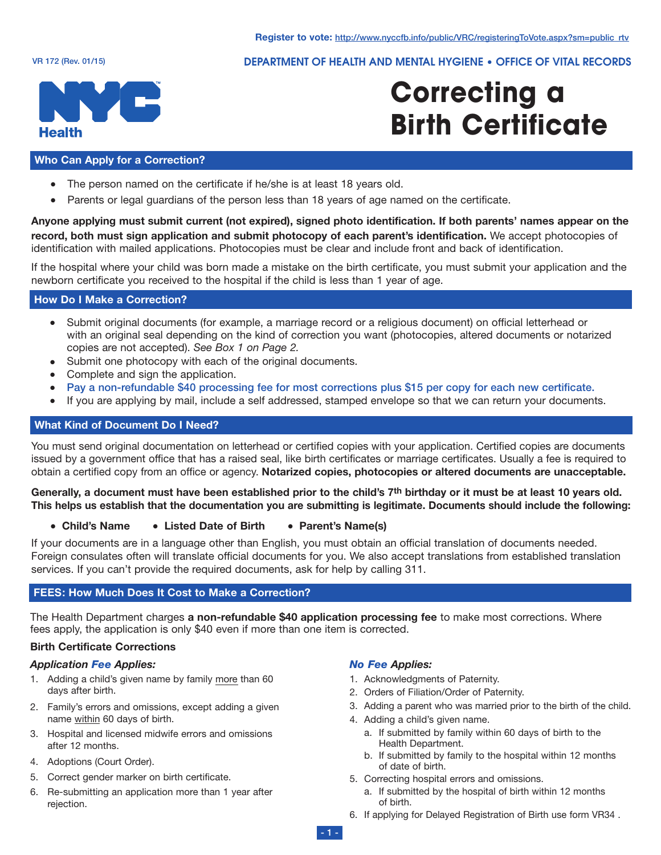DEPARTMENT OF HEALTH AND MENTAL HYGIENE • OFFICE OF VITAL RECORDS



# **Correcting a Birth Certificate**

#### **Who Can Apply for a Correction?**

- The person named on the certificate if he/she is at least 18 years old.
- Parents or legal guardians of the person less than 18 years of age named on the certificate.

**Anyone applying must submit current (not expired), signed photo identification. If both parents' names appear on the record, both must sign application and submit photocopy of each parent's identification.** We accept photocopies of identification with mailed applications. Photocopies must be clear and include front and back of identification.

If the hospital where your child was born made a mistake on the birth certificate, you must submit your application and the newborn certificate you received to the hospital if the child is less than 1 year of age.

#### **How Do I Make a Correction?**

- Submit original documents (for example, a marriage record or a religious document) on official letterhead or with an original seal depending on the kind of correction you want (photocopies, altered documents or notarized copies are not accepted). *See Box 1 on Page 2.*
- Submit one photocopy with each of the original documents.
- Complete and sign the application.
- <sup>l</sup> **Pay a non-refundable \$40 processing fee for most corrections plus \$15 per copy for each new certificate.**
- If you are applying by mail, include a self addressed, stamped envelope so that we can return your documents.

#### **What Kind of Document Do I Need?**

You must send original documentation on letterhead or certified copies with your application. Certified copies are documents issued by a government office that has a raised seal, like birth certificates or marriage certificates. Usually a fee is required to obtain a certified copy from an office or agency. **Notarized copies, photocopies or altered documents are unacceptable.**

Generally, a document must have been established prior to the child's 7th birthday or it must be at least 10 years old. This helps us establish that the documentation you are submitting is legitimate. Documents should include the following:

#### **e** Child's Name **a** Listed Date of Birth **a** Parent's Name(s)

If your documents are in a language other than English, you must obtain an official translation of documents needed. Foreign consulates often will translate official documents for you. We also accept translations from established translation services. If you can't provide the required documents, ask for help by calling 311.

#### **FEES: How Much Does It Cost to Make a Correction?**

The Health Department charges **a non-refundable \$40 application processing fee** to make most corrections. Where fees apply, the application is only \$40 even if more than one item is corrected.

#### **Birth Certificate Corrections**

#### *Application Fee Applies:*

- 1. Adding a child's given name by family more than 60 days after birth.
- 2. Family's errors and omissions, except adding a given name within 60 days of birth.
- 3. Hospital and licensed midwife errors and omissions after 12 months.
- 4. Adoptions (Court Order).
- 5. Correct gender marker on birth certificate.
- 6. Re-submitting an application more than 1 year after rejection.

#### *No Fee Applies:*

- 1. Acknowledgments of Paternity.
- 2. Orders of Filiation/Order of Paternity.
- 3. Adding a parent who was married prior to the birth of the child.
- 4. Adding a child's given name.
	- a. If submitted by family within 60 days of birth to the Health Department.
	- b. If submitted by family to the hospital within 12 months of date of birth.
- 5. Correcting hospital errors and omissions.
	- a. If submitted by the hospital of birth within 12 months of birth.
- 6. If applying for Delayed Registration of Birth use form VR34 .

**- 1 -**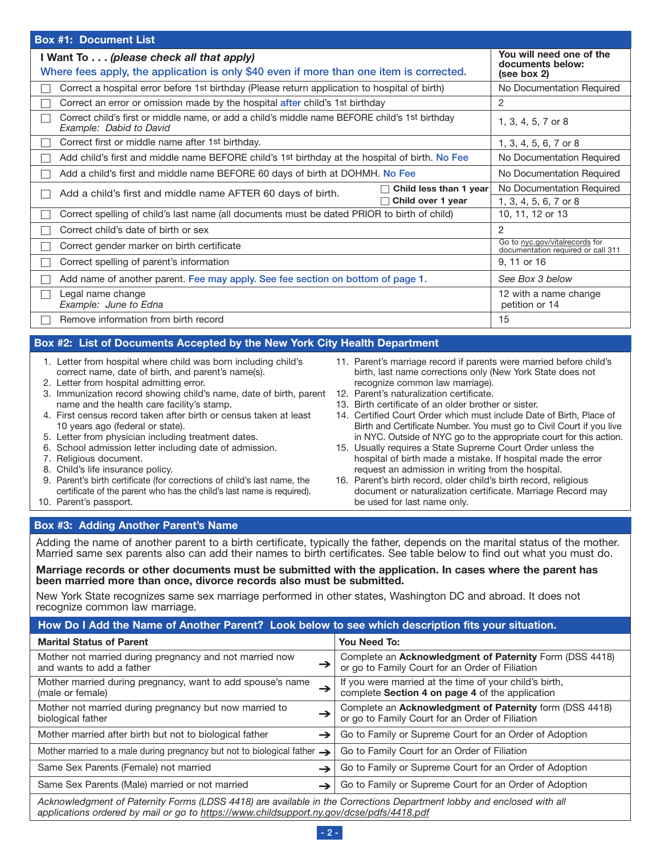| <b>Box #1: Document List</b>                                                                                                                                                                                                                                                                                                                                                                                                                                                                                                                                                                                                                                                                                                                                                                                                                                                                                                                                                                                                                                                                                                                                                                                                                                                                                                                                                                                                                                                                                                                                                                                            |                                                                      |  |  |
|-------------------------------------------------------------------------------------------------------------------------------------------------------------------------------------------------------------------------------------------------------------------------------------------------------------------------------------------------------------------------------------------------------------------------------------------------------------------------------------------------------------------------------------------------------------------------------------------------------------------------------------------------------------------------------------------------------------------------------------------------------------------------------------------------------------------------------------------------------------------------------------------------------------------------------------------------------------------------------------------------------------------------------------------------------------------------------------------------------------------------------------------------------------------------------------------------------------------------------------------------------------------------------------------------------------------------------------------------------------------------------------------------------------------------------------------------------------------------------------------------------------------------------------------------------------------------------------------------------------------------|----------------------------------------------------------------------|--|--|
| I Want To (please check all that apply)                                                                                                                                                                                                                                                                                                                                                                                                                                                                                                                                                                                                                                                                                                                                                                                                                                                                                                                                                                                                                                                                                                                                                                                                                                                                                                                                                                                                                                                                                                                                                                                 | You will need one of the<br>documents below:                         |  |  |
| Where fees apply, the application is only \$40 even if more than one item is corrected.                                                                                                                                                                                                                                                                                                                                                                                                                                                                                                                                                                                                                                                                                                                                                                                                                                                                                                                                                                                                                                                                                                                                                                                                                                                                                                                                                                                                                                                                                                                                 | (see box 2)                                                          |  |  |
| Correct a hospital error before 1st birthday (Please return application to hospital of birth)                                                                                                                                                                                                                                                                                                                                                                                                                                                                                                                                                                                                                                                                                                                                                                                                                                                                                                                                                                                                                                                                                                                                                                                                                                                                                                                                                                                                                                                                                                                           | No Documentation Required                                            |  |  |
| Correct an error or omission made by the hospital after child's 1st birthday                                                                                                                                                                                                                                                                                                                                                                                                                                                                                                                                                                                                                                                                                                                                                                                                                                                                                                                                                                                                                                                                                                                                                                                                                                                                                                                                                                                                                                                                                                                                            | $\overline{2}$                                                       |  |  |
| Correct child's first or middle name, or add a child's middle name BEFORE child's 1st birthday<br>П<br>Example: Dabid to David                                                                                                                                                                                                                                                                                                                                                                                                                                                                                                                                                                                                                                                                                                                                                                                                                                                                                                                                                                                                                                                                                                                                                                                                                                                                                                                                                                                                                                                                                          | 1, 3, 4, 5, 7 or 8                                                   |  |  |
| Correct first or middle name after 1st birthday.<br>$\Box$                                                                                                                                                                                                                                                                                                                                                                                                                                                                                                                                                                                                                                                                                                                                                                                                                                                                                                                                                                                                                                                                                                                                                                                                                                                                                                                                                                                                                                                                                                                                                              | 1, 3, 4, 5, 6, 7 or 8                                                |  |  |
| Add child's first and middle name BEFORE child's 1st birthday at the hospital of birth. No Fee                                                                                                                                                                                                                                                                                                                                                                                                                                                                                                                                                                                                                                                                                                                                                                                                                                                                                                                                                                                                                                                                                                                                                                                                                                                                                                                                                                                                                                                                                                                          | No Documentation Required                                            |  |  |
| Add a child's first and middle name BEFORE 60 days of birth at DOHMH. No Fee<br>$\Box$                                                                                                                                                                                                                                                                                                                                                                                                                                                                                                                                                                                                                                                                                                                                                                                                                                                                                                                                                                                                                                                                                                                                                                                                                                                                                                                                                                                                                                                                                                                                  | No Documentation Required                                            |  |  |
| $\Box$ Child less than 1 year<br>Add a child's first and middle name AFTER 60 days of birth.<br>П<br>$\Box$ Child over 1 year                                                                                                                                                                                                                                                                                                                                                                                                                                                                                                                                                                                                                                                                                                                                                                                                                                                                                                                                                                                                                                                                                                                                                                                                                                                                                                                                                                                                                                                                                           | No Documentation Required<br>1, 3, 4, 5, 6, 7 or 8                   |  |  |
| Correct spelling of child's last name (all documents must be dated PRIOR to birth of child)<br>$\vert \ \ \vert$                                                                                                                                                                                                                                                                                                                                                                                                                                                                                                                                                                                                                                                                                                                                                                                                                                                                                                                                                                                                                                                                                                                                                                                                                                                                                                                                                                                                                                                                                                        | 10, 11, 12 or 13                                                     |  |  |
| Correct child's date of birth or sex<br>$\Box$                                                                                                                                                                                                                                                                                                                                                                                                                                                                                                                                                                                                                                                                                                                                                                                                                                                                                                                                                                                                                                                                                                                                                                                                                                                                                                                                                                                                                                                                                                                                                                          | $\overline{2}$                                                       |  |  |
| Correct gender marker on birth certificate<br>П                                                                                                                                                                                                                                                                                                                                                                                                                                                                                                                                                                                                                                                                                                                                                                                                                                                                                                                                                                                                                                                                                                                                                                                                                                                                                                                                                                                                                                                                                                                                                                         | Go to nyc.gov/vitalrecords for<br>documentation required or call 311 |  |  |
| Correct spelling of parent's information<br>$\mathcal{L}_{\mathcal{A}}$                                                                                                                                                                                                                                                                                                                                                                                                                                                                                                                                                                                                                                                                                                                                                                                                                                                                                                                                                                                                                                                                                                                                                                                                                                                                                                                                                                                                                                                                                                                                                 | 9, 11 or 16                                                          |  |  |
| Add name of another parent. Fee may apply. See fee section on bottom of page 1.<br>П                                                                                                                                                                                                                                                                                                                                                                                                                                                                                                                                                                                                                                                                                                                                                                                                                                                                                                                                                                                                                                                                                                                                                                                                                                                                                                                                                                                                                                                                                                                                    | See Box 3 below                                                      |  |  |
| Legal name change<br>$\Box$<br>Example: June to Edna                                                                                                                                                                                                                                                                                                                                                                                                                                                                                                                                                                                                                                                                                                                                                                                                                                                                                                                                                                                                                                                                                                                                                                                                                                                                                                                                                                                                                                                                                                                                                                    | 12 with a name change<br>petition or 14                              |  |  |
| Remove information from birth record<br>$\overline{\phantom{a}}$                                                                                                                                                                                                                                                                                                                                                                                                                                                                                                                                                                                                                                                                                                                                                                                                                                                                                                                                                                                                                                                                                                                                                                                                                                                                                                                                                                                                                                                                                                                                                        | 15                                                                   |  |  |
| Box #2: List of Documents Accepted by the New York City Health Department                                                                                                                                                                                                                                                                                                                                                                                                                                                                                                                                                                                                                                                                                                                                                                                                                                                                                                                                                                                                                                                                                                                                                                                                                                                                                                                                                                                                                                                                                                                                               |                                                                      |  |  |
| 1. Letter from hospital where child was born including child's<br>11. Parent's marriage record if parents were married before child's<br>correct name, date of birth, and parent's name(s).<br>birth, last name corrections only (New York State does not<br>2. Letter from hospital admitting error.<br>recognize common law marriage).<br>3. Immunization record showing child's name, date of birth, parent<br>12. Parent's naturalization certificate.<br>name and the health care facility's stamp.<br>13. Birth certificate of an older brother or sister.<br>4. First census record taken after birth or census taken at least<br>14. Certified Court Order which must include Date of Birth, Place of<br>10 years ago (federal or state).<br>Birth and Certificate Number. You must go to Civil Court if you live<br>5. Letter from physician including treatment dates.<br>in NYC. Outside of NYC go to the appropriate court for this action.<br>6. School admission letter including date of admission.<br>15. Usually requires a State Supreme Court Order unless the<br>7. Religious document.<br>hospital of birth made a mistake. If hospital made the error<br>8. Child's life insurance policy.<br>request an admission in writing from the hospital.<br>9. Parent's birth certificate (for corrections of child's last name, the<br>16. Parent's birth record, older child's birth record, religious<br>certificate of the parent who has the child's last name is required).<br>document or naturalization certificate. Marriage Record may<br>10. Parent's passport.<br>be used for last name only. |                                                                      |  |  |
| Box #3: Adding Another Parent's Name                                                                                                                                                                                                                                                                                                                                                                                                                                                                                                                                                                                                                                                                                                                                                                                                                                                                                                                                                                                                                                                                                                                                                                                                                                                                                                                                                                                                                                                                                                                                                                                    |                                                                      |  |  |
| Adding the name of another parent to a birth certificate, typically the father, depends on the marital status of the mother.<br>Married same sex parents also can add their names to birth certificates. See table below to find out what you must do.<br>Marriage records or other documents must be submitted with the application. In cases where the parent has<br>been married more than once, divorce records also must be submitted.                                                                                                                                                                                                                                                                                                                                                                                                                                                                                                                                                                                                                                                                                                                                                                                                                                                                                                                                                                                                                                                                                                                                                                             |                                                                      |  |  |

New York State recognizes same sex marriage performed in other states, Washington DC and abroad. It does not recognize common law marriage.

| How Do I Add the Name of Another Parent? Look below to see which description fits your situation.                                                                                                                 |                                                                                                            |  |  |  |
|-------------------------------------------------------------------------------------------------------------------------------------------------------------------------------------------------------------------|------------------------------------------------------------------------------------------------------------|--|--|--|
| <b>Marital Status of Parent</b>                                                                                                                                                                                   | You Need To:                                                                                               |  |  |  |
| Mother not married during pregnancy and not married now<br>$\rightarrow$<br>and wants to add a father                                                                                                             | Complete an Acknowledgment of Paternity Form (DSS 4418)<br>or go to Family Court for an Order of Filiation |  |  |  |
| Mother married during pregnancy, want to add spouse's name<br>$\rightarrow$<br>(male or female)                                                                                                                   | If you were married at the time of your child's birth,<br>complete Section 4 on page 4 of the application  |  |  |  |
| Mother not married during pregnancy but now married to<br>$\rightarrow$<br>biological father                                                                                                                      | Complete an Acknowledgment of Paternity form (DSS 4418)<br>or go to Family Court for an Order of Filiation |  |  |  |
| Mother married after birth but not to biological father<br>→                                                                                                                                                      | Go to Family or Supreme Court for an Order of Adoption                                                     |  |  |  |
| Mother married to a male during pregnancy but not to biological father $\rightarrow$                                                                                                                              | Go to Family Court for an Order of Filiation                                                               |  |  |  |
| Same Sex Parents (Female) not married<br>→                                                                                                                                                                        | Go to Family or Supreme Court for an Order of Adoption                                                     |  |  |  |
| Same Sex Parents (Male) married or not married<br>→                                                                                                                                                               | Go to Family or Supreme Court for an Order of Adoption                                                     |  |  |  |
| Acknowledgment of Paternity Forms (LDSS 4418) are available in the Corrections Department lobby and enclosed with all<br>applications ordered by mail or go to https://www.childsupport.ny.gov/dcse/pdfs/4418.pdf |                                                                                                            |  |  |  |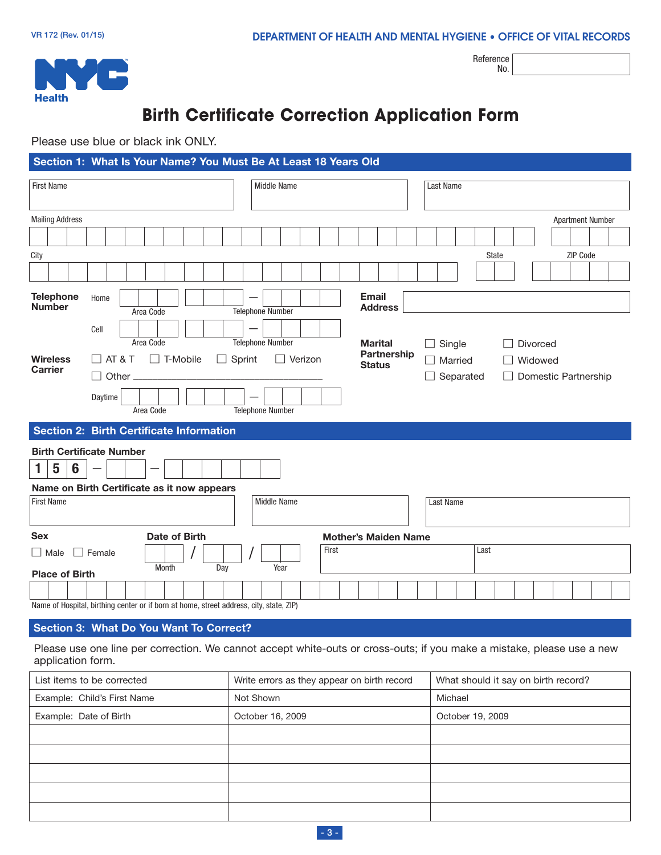

Reference No.

# **Birth Certificate Correction Application Form**

Please use blue or black ink ONLY.

| <b>Last Name</b>                                                                            |
|---------------------------------------------------------------------------------------------|
| <b>Apartment Number</b>                                                                     |
|                                                                                             |
| <b>State</b><br>ZIP Code                                                                    |
|                                                                                             |
|                                                                                             |
| $\Box$ Single<br><b>Divorced</b><br>Married<br>Widowed<br>Separated<br>Domestic Partnership |
|                                                                                             |
| Last Name                                                                                   |
| <b>Mother's Maiden Name</b>                                                                 |
| Last                                                                                        |
|                                                                                             |

#### **Section 3: What Do You Want To Correct?**

Please use one line per correction. We cannot accept white-outs or cross-outs; if you make a mistake, please use a new application form.

| List items to be corrected  | Write errors as they appear on birth record | What should it say on birth record? |
|-----------------------------|---------------------------------------------|-------------------------------------|
| Example: Child's First Name | Not Shown                                   | Michael                             |
| Example: Date of Birth      | October 16, 2009                            | October 19, 2009                    |
|                             |                                             |                                     |
|                             |                                             |                                     |
|                             |                                             |                                     |
|                             |                                             |                                     |
|                             |                                             |                                     |